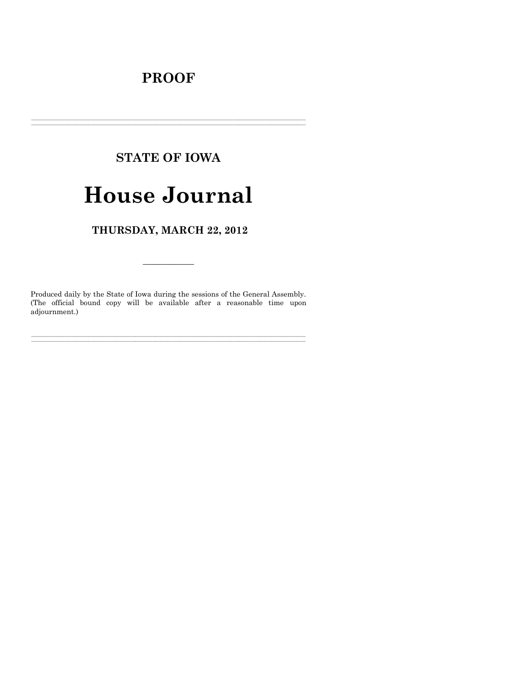# **PROOF**

# **STATE OF IOWA**

# **House Journal**

THURSDAY, MARCH 22, 2012

Produced daily by the State of Iowa during the sessions of the General Assembly. (The official bound copy will be available after a reasonable time upon adjournment.)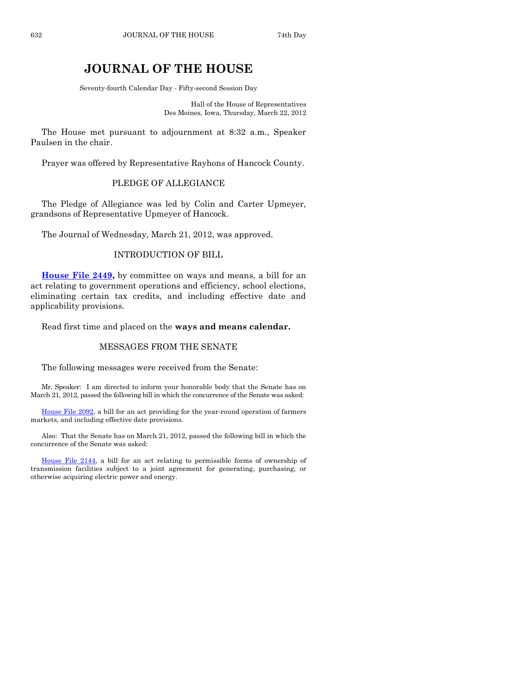# **JOURNAL OF THE HOUSE**

Seventy-fourth Calendar Day - Fifty-second Session Day

Hall of the House of Representatives Des Moines, Iowa, Thursday, March 22, 2012

The House met pursuant to adjournment at 8:32 a.m., Speaker Paulsen in the chair.

Prayer was offered by Representative Rayhons of Hancock County.

## PLEDGE OF ALLEGIANCE

The Pledge of Allegiance was led by Colin and Carter Upmeyer, grandsons of Representative Upmeyer of Hancock.

The Journal of Wednesday, March 21, 2012, was approved.

# INTRODUCTION OF BILL

**[House File 2449,](http://coolice.legis.state.ia.us/Cool-ICE/default.asp?Category=billinfo&Service=Billbook&frame=1&GA=84&hbill=HF2449)** by committee on ways and means, a bill for an act relating to government operations and efficiency, school elections, eliminating certain tax credits, and including effective date and applicability provisions.

Read first time and placed on the **ways and means calendar.**

# MESSAGES FROM THE SENATE

The following messages were received from the Senate:

Mr. Speaker: I am directed to inform your honorable body that the Senate has on March 21, 2012, passed the following bill in which the concurrence of the Senate was asked:

[House File 2092,](http://coolice.legis.state.ia.us/Cool-ICE/default.asp?Category=billinfo&Service=Billbook&frame=1&GA=84&hbill=HF2092) a bill for an act providing for the year-round operation of farmers markets, and including effective date provisions.

Also: That the Senate has on March 21, 2012, passed the following bill in which the concurrence of the Senate was asked:

[House File 2144,](http://coolice.legis.state.ia.us/Cool-ICE/default.asp?Category=billinfo&Service=Billbook&frame=1&GA=84&hbill=HF2144) a bill for an act relating to permissible forms of ownership of transmission facilities subject to a joint agreement for generating, purchasing, or otherwise acquiring electric power and energy.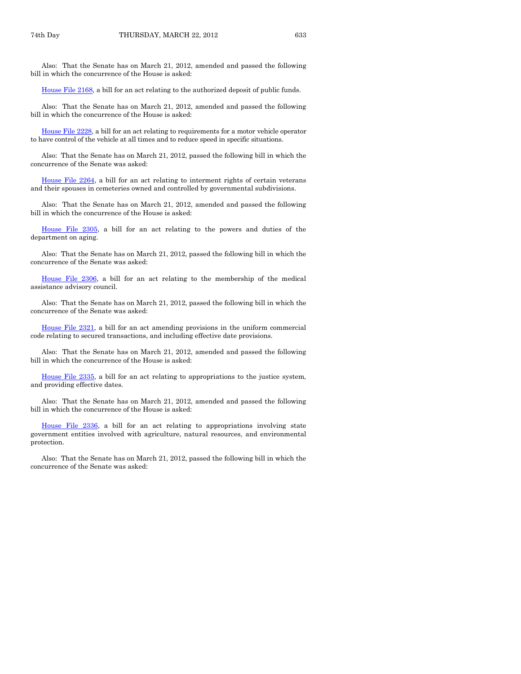Also: That the Senate has on March 21, 2012, amended and passed the following bill in which the concurrence of the House is asked:

[House File 2168,](http://coolice.legis.state.ia.us/Cool-ICE/default.asp?Category=billinfo&Service=Billbook&frame=1&GA=84&hbill=HF2168) a bill for an act relating to the authorized deposit of public funds.

Also: That the Senate has on March 21, 2012, amended and passed the following bill in which the concurrence of the House is asked:

[House File 2228,](http://coolice.legis.state.ia.us/Cool-ICE/default.asp?Category=billinfo&Service=Billbook&frame=1&GA=84&hbill=HF2228) a bill for an act relating to requirements for a motor vehicle operator to have control of the vehicle at all times and to reduce speed in specific situations.

Also: That the Senate has on March 21, 2012, passed the following bill in which the concurrence of the Senate was asked:

[House File 2264,](http://coolice.legis.state.ia.us/Cool-ICE/default.asp?Category=billinfo&Service=Billbook&frame=1&GA=84&hbill=HF2264) a bill for an act relating to interment rights of certain veterans and their spouses in cemeteries owned and controlled by governmental subdivisions.

Also: That the Senate has on March 21, 2012, amended and passed the following bill in which the concurrence of the House is asked:

[House File 2305,](http://coolice.legis.state.ia.us/Cool-ICE/default.asp?Category=billinfo&Service=Billbook&frame=1&GA=84&hbill=HF2305) a bill for an act relating to the powers and duties of the department on aging.

Also: That the Senate has on March 21, 2012, passed the following bill in which the concurrence of the Senate was asked:

[House File 2306,](http://coolice.legis.state.ia.us/Cool-ICE/default.asp?Category=billinfo&Service=Billbook&frame=1&GA=84&hbill=HF2306) a bill for an act relating to the membership of the medical assistance advisory council.

Also: That the Senate has on March 21, 2012, passed the following bill in which the concurrence of the Senate was asked:

[House File 2321,](http://coolice.legis.state.ia.us/Cool-ICE/default.asp?Category=billinfo&Service=Billbook&frame=1&GA=84&hbill=HF2321) a bill for an act amending provisions in the uniform commercial code relating to secured transactions, and including effective date provisions.

Also: That the Senate has on March 21, 2012, amended and passed the following bill in which the concurrence of the House is asked:

[House File 2335,](http://coolice.legis.state.ia.us/Cool-ICE/default.asp?Category=billinfo&Service=Billbook&frame=1&GA=84&hbill=HF2335) a bill for an act relating to appropriations to the justice system, and providing effective dates.

Also: That the Senate has on March 21, 2012, amended and passed the following bill in which the concurrence of the House is asked:

[House File 2336,](http://coolice.legis.state.ia.us/Cool-ICE/default.asp?Category=billinfo&Service=Billbook&frame=1&GA=84&hbill=HF2336) a bill for an act relating to appropriations involving state government entities involved with agriculture, natural resources, and environmental protection.

Also: That the Senate has on March 21, 2012, passed the following bill in which the concurrence of the Senate was asked: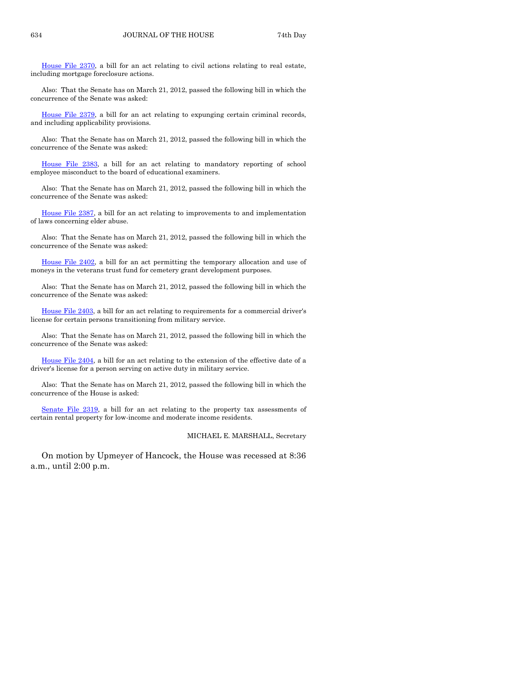[House File 2370,](http://coolice.legis.state.ia.us/Cool-ICE/default.asp?Category=billinfo&Service=Billbook&frame=1&GA=84&hbill=HF2370) a bill for an act relating to civil actions relating to real estate, including mortgage foreclosure actions.

Also: That the Senate has on March 21, 2012, passed the following bill in which the concurrence of the Senate was asked:

[House File 2379,](http://coolice.legis.state.ia.us/Cool-ICE/default.asp?Category=billinfo&Service=Billbook&frame=1&GA=84&hbill=HF2379) a bill for an act relating to expunging certain criminal records, and including applicability provisions.

Also: That the Senate has on March 21, 2012, passed the following bill in which the concurrence of the Senate was asked:

[House File 2383,](http://coolice.legis.state.ia.us/Cool-ICE/default.asp?Category=billinfo&Service=Billbook&frame=1&GA=84&hbill=HF2383) a bill for an act relating to mandatory reporting of school employee misconduct to the board of educational examiners.

Also: That the Senate has on March 21, 2012, passed the following bill in which the concurrence of the Senate was asked:

[House File 2387,](http://coolice.legis.state.ia.us/Cool-ICE/default.asp?Category=billinfo&Service=Billbook&frame=1&GA=84&hbill=HF2387) a bill for an act relating to improvements to and implementation of laws concerning elder abuse.

Also: That the Senate has on March 21, 2012, passed the following bill in which the concurrence of the Senate was asked:

[House File 2402,](http://coolice.legis.state.ia.us/Cool-ICE/default.asp?Category=billinfo&Service=Billbook&frame=1&GA=84&hbill=HF2402) a bill for an act permitting the temporary allocation and use of moneys in the veterans trust fund for cemetery grant development purposes.

Also: That the Senate has on March 21, 2012, passed the following bill in which the concurrence of the Senate was asked:

[House File 2403,](http://coolice.legis.state.ia.us/Cool-ICE/default.asp?Category=billinfo&Service=Billbook&frame=1&GA=84&hbill=HF2403) a bill for an act relating to requirements for a commercial driver's license for certain persons transitioning from military service.

Also: That the Senate has on March 21, 2012, passed the following bill in which the concurrence of the Senate was asked:

[House File 2404,](http://coolice.legis.state.ia.us/Cool-ICE/default.asp?Category=billinfo&Service=Billbook&frame=1&GA=84&hbill=HF2404) a bill for an act relating to the extension of the effective date of a driver's license for a person serving on active duty in military service.

Also: That the Senate has on March 21, 2012, passed the following bill in which the concurrence of the House is asked:

[Senate File 2319,](http://coolice.legis.state.ia.us/Cool-ICE/default.asp?Category=billinfo&Service=Billbook&frame=1&GA=84&hbill=SF2319) a bill for an act relating to the property tax assessments of certain rental property for low-income and moderate income residents.

MICHAEL E. MARSHALL, Secretary

On motion by Upmeyer of Hancock, the House was recessed at 8:36 a.m., until 2:00 p.m.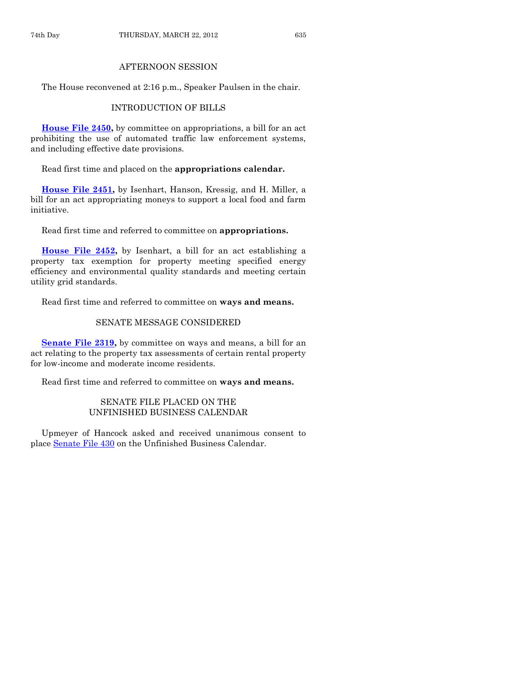### AFTERNOON SESSION

The House reconvened at 2:16 p.m., Speaker Paulsen in the chair.

# INTRODUCTION OF BILLS

**[House File 2450,](http://coolice.legis.state.ia.us/Cool-ICE/default.asp?Category=billinfo&Service=Billbook&frame=1&GA=84&hbill=HF2450)** by committee on appropriations, a bill for an act prohibiting the use of automated traffic law enforcement systems, and including effective date provisions.

Read first time and placed on the **appropriations calendar.**

**[House File 2451,](http://coolice.legis.state.ia.us/Cool-ICE/default.asp?Category=billinfo&Service=Billbook&frame=1&GA=84&hbill=HF2451)** by Isenhart, Hanson, Kressig, and H. Miller, a bill for an act appropriating moneys to support a local food and farm initiative.

Read first time and referred to committee on **appropriations.**

**[House File 2452,](http://coolice.legis.state.ia.us/Cool-ICE/default.asp?Category=billinfo&Service=Billbook&frame=1&GA=84&hbill=HF2452)** by Isenhart, a bill for an act establishing a property tax exemption for property meeting specified energy efficiency and environmental quality standards and meeting certain utility grid standards.

Read first time and referred to committee on **ways and means.**

# SENATE MESSAGE CONSIDERED

**[Senate File 2319,](http://coolice.legis.state.ia.us/Cool-ICE/default.asp?Category=billinfo&Service=Billbook&frame=1&GA=84&hbill=SF2319)** by committee on ways and means, a bill for an act relating to the property tax assessments of certain rental property for low-income and moderate income residents.

Read first time and referred to committee on **ways and means.**

# SENATE FILE PLACED ON THE UNFINISHED BUSINESS CALENDAR

Upmeyer of Hancock asked and received unanimous consent to place [Senate File 430](http://coolice.legis.state.ia.us/Cool-ICE/default.asp?Category=billinfo&Service=Billbook&frame=1&GA=84&hbill=SF430) on the Unfinished Business Calendar.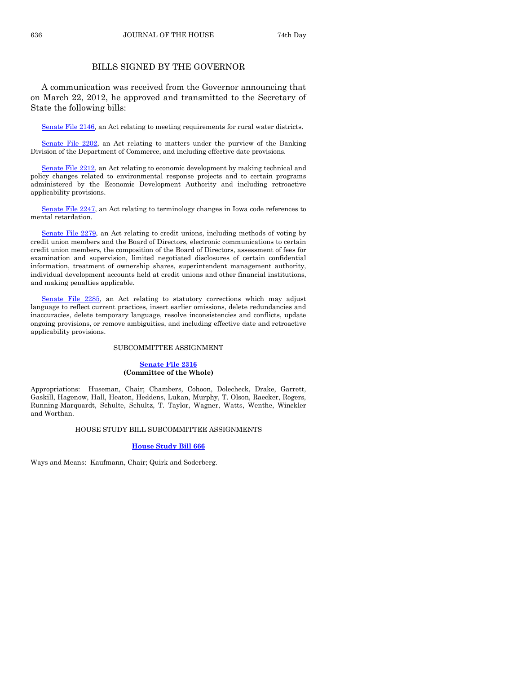636 JOURNAL OF THE HOUSE 74th Day

## BILLS SIGNED BY THE GOVERNOR

A communication was received from the Governor announcing that on March 22, 2012, he approved and transmitted to the Secretary of State the following bills:

[Senate File 2146,](http://coolice.legis.state.ia.us/Cool-ICE/default.asp?Category=billinfo&Service=Billbook&frame=1&GA=84&hbill=SF2146) an Act relating to meeting requirements for rural water districts.

[Senate File 2202,](http://coolice.legis.state.ia.us/Cool-ICE/default.asp?Category=billinfo&Service=Billbook&frame=1&GA=84&hbill=SF2202) an Act relating to matters under the purview of the Banking Division of the Department of Commerce, and including effective date provisions.

[Senate File 2212,](http://coolice.legis.state.ia.us/Cool-ICE/default.asp?Category=billinfo&Service=Billbook&frame=1&GA=84&hbill=SF2212) an Act relating to economic development by making technical and policy changes related to environmental response projects and to certain programs administered by the Economic Development Authority and including retroactive applicability provisions.

[Senate File 2247,](http://coolice.legis.state.ia.us/Cool-ICE/default.asp?Category=billinfo&Service=Billbook&frame=1&GA=84&hbill=SF2247) an Act relating to terminology changes in Iowa code references to mental retardation.

[Senate File 2279,](http://coolice.legis.state.ia.us/Cool-ICE/default.asp?Category=billinfo&Service=Billbook&frame=1&GA=84&hbill=SF2279) an Act relating to credit unions, including methods of voting by credit union members and the Board of Directors, electronic communications to certain credit union members, the composition of the Board of Directors, assessment of fees for examination and supervision, limited negotiated disclosures of certain confidential information, treatment of ownership shares, superintendent management authority, individual development accounts held at credit unions and other financial institutions, and making penalties applicable.

[Senate File 2285,](http://coolice.legis.state.ia.us/Cool-ICE/default.asp?Category=billinfo&Service=Billbook&frame=1&GA=84&hbill=SF2285) an Act relating to statutory corrections which may adjust language to reflect current practices, insert earlier omissions, delete redundancies and inaccuracies, delete temporary language, resolve inconsistencies and conflicts, update ongoing provisions, or remove ambiguities, and including effective date and retroactive applicability provisions.

#### SUBCOMMITTEE ASSIGNMENT

#### **[Senate File 2316](http://coolice.legis.state.ia.us/Cool-ICE/default.asp?Category=billinfo&Service=Billbook&frame=1&GA=84&hbill=SF2316) (Committee of the Whole)**

Appropriations: Huseman, Chair; Chambers, Cohoon, Dolecheck, Drake, Garrett, Gaskill, Hagenow, Hall, Heaton, Heddens, Lukan, Murphy, T. Olson, Raecker, Rogers, Running-Marquardt, Schulte, Schultz, T. Taylor, Wagner, Watts, Wenthe, Winckler and Worthan.

#### HOUSE STUDY BILL SUBCOMMITTEE ASSIGNMENTS

#### **[House Study Bill 666](http://coolice.legis.state.ia.us/Cool-ICE/default.asp?Category=billinfo&Service=Billbook&frame=1&GA=84&hbill=HSB666)**

Ways and Means: Kaufmann, Chair; Quirk and Soderberg.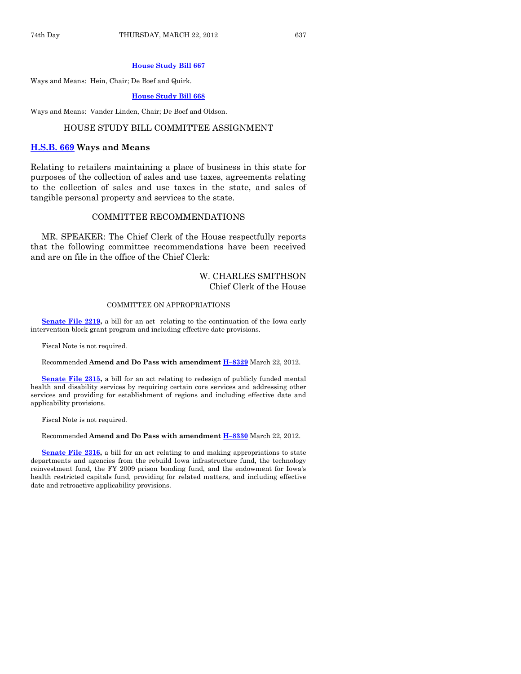#### **[House Study Bill 667](http://coolice.legis.state.ia.us/Cool-ICE/default.asp?Category=billinfo&Service=Billbook&frame=1&GA=84&hbill=HSB667)**

Ways and Means: Hein, Chair; De Boef and Quirk.

#### **[House Study Bill 668](http://coolice.legis.state.ia.us/Cool-ICE/default.asp?Category=billinfo&Service=Billbook&frame=1&GA=84&hbill=HSB668)**

Ways and Means: Vander Linden, Chair; De Boef and Oldson.

#### HOUSE STUDY BILL COMMITTEE ASSIGNMENT

#### **[H.S.B. 669](http://coolice.legis.state.ia.us/Cool-ICE/default.asp?Category=billinfo&Service=Billbook&frame=1&GA=84&hbill=HSB669) Ways and Means**

Relating to retailers maintaining a place of business in this state for purposes of the collection of sales and use taxes, agreements relating to the collection of sales and use taxes in the state, and sales of tangible personal property and services to the state.

#### COMMITTEE RECOMMENDATIONS

MR. SPEAKER: The Chief Clerk of the House respectfully reports that the following committee recommendations have been received and are on file in the office of the Chief Clerk:

## W. CHARLES SMITHSON Chief Clerk of the House

#### COMMITTEE ON APPROPRIATIONS

**[Senate File 2219,](http://coolice.legis.state.ia.us/Cool-ICE/default.asp?Category=billinfo&Service=Billbook&frame=1&GA=84&hbill=SF2219)** a bill for an act relating to the continuation of the Iowa early intervention block grant program and including effective date provisions.

Fiscal Note is not required.

Recommended **Amend and Do Pass with amendment H–[8329](http://coolice.legis.state.ia.us/Cool-ICE/default.asp?Category=billinfo&Service=Billbook&frame=1&GA=84&hbill=H8329)** March 22, 2012.

**[Senate File 2315,](http://coolice.legis.state.ia.us/Cool-ICE/default.asp?Category=billinfo&Service=Billbook&frame=1&GA=84&hbill=SF2315)** a bill for an act relating to redesign of publicly funded mental health and disability services by requiring certain core services and addressing other services and providing for establishment of regions and including effective date and applicability provisions.

Fiscal Note is not required.

#### Recommended **Amend and Do Pass with amendment H–[8330](http://coolice.legis.state.ia.us/Cool-ICE/default.asp?Category=billinfo&Service=Billbook&frame=1&GA=84&hbill=H8330)** March 22, 2012.

**[Senate File 2316,](http://coolice.legis.state.ia.us/Cool-ICE/default.asp?Category=billinfo&Service=Billbook&frame=1&GA=84&hbill=SF2316)** a bill for an act relating to and making appropriations to state departments and agencies from the rebuild Iowa infrastructure fund, the technology reinvestment fund, the FY 2009 prison bonding fund, and the endowment for Iowa's health restricted capitals fund, providing for related matters, and including effective date and retroactive applicability provisions.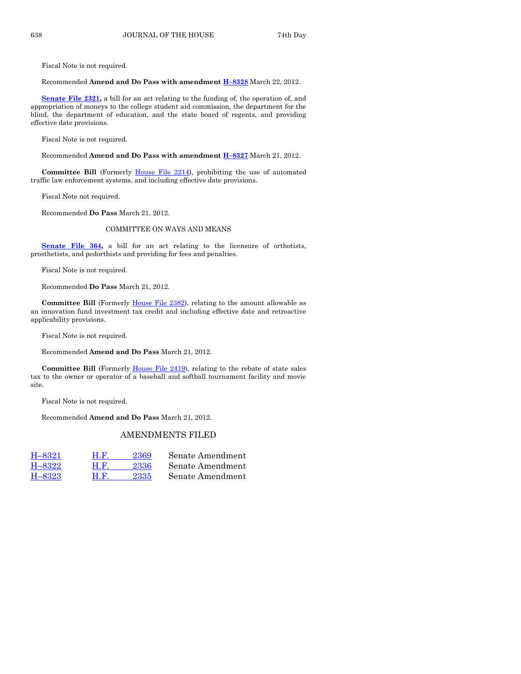Fiscal Note is not required.

Recommended **Amend and Do Pass with amendment H–[8328](http://coolice.legis.state.ia.us/Cool-ICE/default.asp?Category=billinfo&Service=Billbook&frame=1&GA=84&hbill=H8328)** March 22, 2012.

**[Senate File 2321,](http://coolice.legis.state.ia.us/Cool-ICE/default.asp?Category=billinfo&Service=Billbook&frame=1&GA=84&hbill=SF2321)** a bill for an act relating to the funding of, the operation of, and appropriation of moneys to the college student aid commission, the department for the blind, the department of education, and the state board of regents, and providing effective date provisions.

Fiscal Note is not required.

Recommended **Amend and Do Pass with amendment H–[8327](http://coolice.legis.state.ia.us/Cool-ICE/default.asp?Category=billinfo&Service=Billbook&frame=1&GA=84&hbill=H8327)** March 21, 2012.

**Committee Bill** (Formerly [House File 2214\)](http://coolice.legis.state.ia.us/Cool-ICE/default.asp?Category=billinfo&Service=Billbook&frame=1&GA=84&hbill=HF2214), prohibiting the use of automated traffic law enforcement systems, and including effective date provisions.

Fiscal Note not required.

Recommended **Do Pass** March 21, 2012.

#### COMMITTEE ON WAYS AND MEANS

**[Senate File 364,](http://coolice.legis.state.ia.us/Cool-ICE/default.asp?Category=billinfo&Service=Billbook&frame=1&GA=84&hbill=SF364)** a bill for an act relating to the licensure of orthotists, prosthetists, and pedorthists and providing for fees and penalties.

Fiscal Note is not required.

Recommended **Do Pass** March 21, 2012.

**Committee Bill** (Formerly [House File 2382\)](http://coolice.legis.state.ia.us/Cool-ICE/default.asp?Category=billinfo&Service=Billbook&frame=1&GA=84&hbill=HF2382), relating to the amount allowable as an innovation fund investment tax credit and including effective date and retroactive applicability provisions.

Fiscal Note is not required.

Recommended **Amend and Do Pass** March 21, 2012.

**Committee Bill** (Formerly [House File 2419\)](http://coolice.legis.state.ia.us/Cool-ICE/default.asp?Category=billinfo&Service=Billbook&frame=1&GA=84&hbill=HF2419), relating to the rebate of state sales tax to the owner or operator of a baseball and softball tournament facility and movie site.

Fiscal Note is not required.

Recommended **Amend and Do Pass** March 21, 2012.

# AMENDMENTS FILED

| H-8321 | H.F. | 2369 | Senate Amendment |
|--------|------|------|------------------|
| H-8322 | H.F  | 2336 | Senate Amendment |
| H-8323 | нк   | 2335 | Senate Amendment |